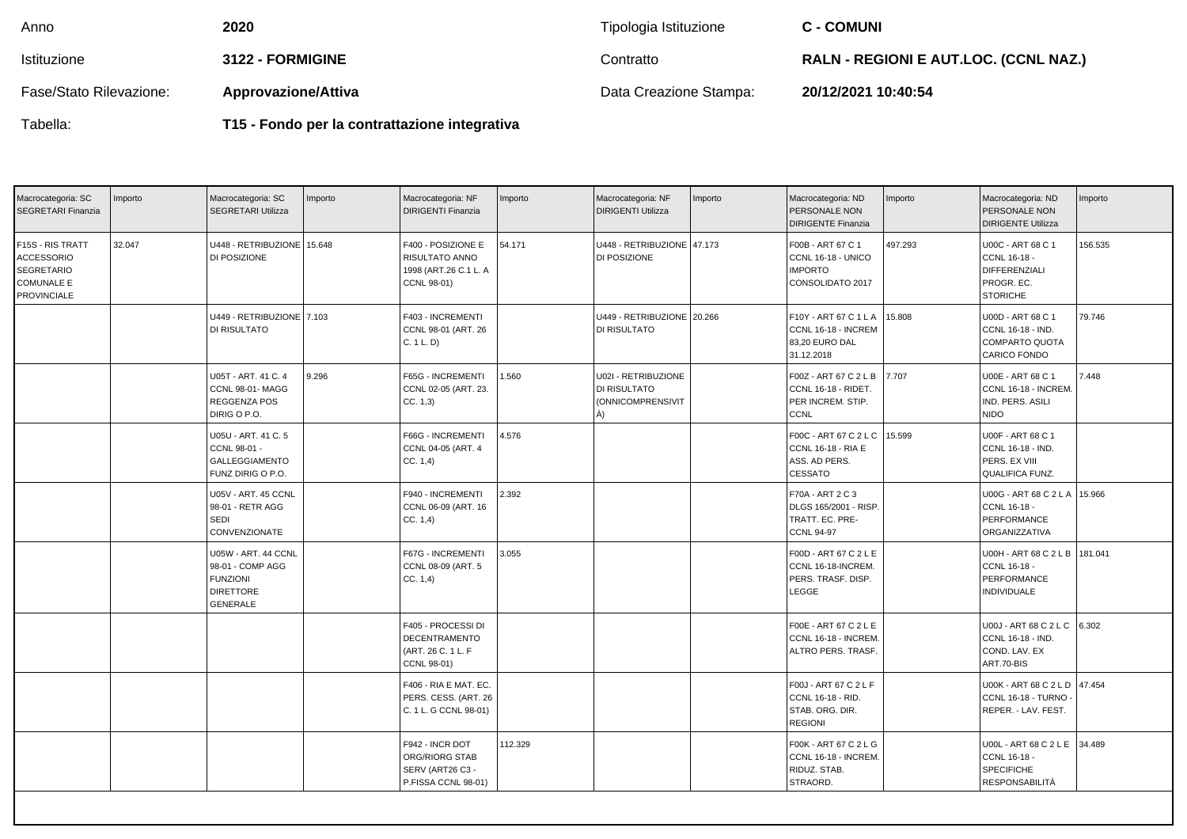| Anno                    | 2020                       | Tipologia Istituzione  | <b>C - COMUNI</b>                            |
|-------------------------|----------------------------|------------------------|----------------------------------------------|
| Istituzione             | 3122 - FORMIGINE           | Contratto              | <b>RALN - REGIONI E AUT.LOC. (CCNL NAZ.)</b> |
| Fase/Stato Rilevazione: | <b>Approvazione/Attiva</b> | Data Creazione Stampa: | 20/12/2021 10:40:54                          |

| Tabella: |
|----------|
|----------|

**T15 - Fondo per la contrattazione integrativa**

| Macrocategoria: SC<br>SEGRETARI Finanzia                                                              | Importo | Macrocategoria: SC<br><b>SEGRETARI Utilizza</b>                                                   | Importo | Macrocategoria: NF<br><b>DIRIGENTI Finanzia</b>                                     | Importo | Macrocategoria: NF<br><b>DIRIGENTI Utilizza</b>                        | Importo | Macrocategoria: ND<br>PERSONALE NON<br><b>DIRIGENTE Finanzia</b>                               | Importo | Macrocategoria: ND<br>PERSONALE NON<br><b>DIRIGENTE Utilizza</b>                    | Importo |
|-------------------------------------------------------------------------------------------------------|---------|---------------------------------------------------------------------------------------------------|---------|-------------------------------------------------------------------------------------|---------|------------------------------------------------------------------------|---------|------------------------------------------------------------------------------------------------|---------|-------------------------------------------------------------------------------------|---------|
| F15S - RIS TRATT<br><b>ACCESSORIO</b><br><b>SEGRETARIO</b><br><b>COMUNALE E</b><br><b>PROVINCIALE</b> | 32.047  | U448 - RETRIBUZIONE 15.648<br>DI POSIZIONE                                                        |         | F400 - POSIZIONE E<br><b>RISULTATO ANNO</b><br>1998 (ART.26 C.1 L. A<br>CCNL 98-01) | 54.171  | U448 - RETRIBUZIONE 47.173<br>DI POSIZIONE                             |         | F00B - ART 67 C 1<br>CCNL 16-18 - UNICO<br><b>IMPORTO</b><br>CONSOLIDATO 2017                  | 497.293 | U00C - ART 68 C 1<br>CCNL 16-18 -<br>DIFFERENZIALI<br>PROGR. EC.<br><b>STORICHE</b> | 156.535 |
|                                                                                                       |         | U449 - RETRIBUZIONE 7.103<br>DI RISULTATO                                                         |         | F403 - INCREMENTI<br>CCNL 98-01 (ART. 26<br>C. 1 L. D                               |         | U449 - RETRIBUZIONE 20.266<br>DI RISULTATO                             |         | F10Y - ART 67 C 1 L A 15.808<br>CCNL 16-18 - INCREM<br>83,20 EURO DAL<br>31.12.2018            |         | U00D - ART 68 C 1<br>CCNL 16-18 - IND.<br>COMPARTO QUOTA<br>CARICO FONDO            | 79.746  |
|                                                                                                       |         | U05T - ART, 41 C, 4<br>CCNL 98-01-MAGG<br>REGGENZA POS<br>DIRIG O P.O.                            | 9.296   | F65G - INCREMENTI<br>CCNL 02-05 (ART. 23.<br>CC. 1,3)                               | 1.560   | U02I - RETRIBUZIONE<br>DI RISULTATO<br><b>(ONNICOMPRENSIVIT)</b><br>À) |         | F00Z - ART 67 C 2 L B 7.707<br>CCNL 16-18 - RIDET.<br>PER INCREM. STIP.<br><b>CCNL</b>         |         | U00E - ART 68 C 1<br>CCNL 16-18 - INCREM.<br>IND. PERS. ASILI<br><b>NIDO</b>        | 7.448   |
|                                                                                                       |         | U05U - ART. 41 C. 5<br>CCNL 98-01 -<br><b>GALLEGGIAMENTO</b><br>FUNZ DIRIG O P.O.                 |         | F66G - INCREMENTI<br>CCNL 04-05 (ART. 4<br>CC. 1,4)                                 | 4.576   |                                                                        |         | F00C - ART 67 C 2 L C   15.599<br><b>CCNL 16-18 - RIA E</b><br>ASS. AD PERS.<br><b>CESSATO</b> |         | U00F - ART 68 C 1<br>CCNL 16-18 - IND.<br>PERS. EX VIII<br>QUALIFICA FUNZ.          |         |
|                                                                                                       |         | U05V - ART. 45 CCNL<br>98-01 - RETR AGG<br><b>SEDI</b><br>CONVENZIONATE                           |         | F940 - INCREMENTI<br>CCNL 06-09 (ART. 16<br>CC. 1,4)                                | 2.392   |                                                                        |         | F70A - ART 2 C 3<br>DLGS 165/2001 - RISP.<br>TRATT. EC. PRE-<br>CCNL 94-97                     |         | U00G - ART 68 C 2 L A<br>CCNL 16-18 -<br>PERFORMANCE<br>ORGANIZZATIVA               | 15.966  |
|                                                                                                       |         | U05W - ART. 44 CCNL<br>98-01 - COMP AGG<br><b>FUNZIONI</b><br><b>DIRETTORE</b><br><b>GENERALE</b> |         | F67G - INCREMENTI<br>CCNL 08-09 (ART. 5<br>$ CC. 1,4\rangle$                        | 3.055   |                                                                        |         | F00D - ART 67 C 2 L E<br>CCNL 16-18-INCREM.<br>PERS. TRASF. DISP.<br>LEGGE                     |         | <b>U00H - ART 68 C 2 L B</b><br>CCNL 16-18 -<br>PERFORMANCE<br><b>INDIVIDUALE</b>   | 181.041 |
|                                                                                                       |         |                                                                                                   |         | F405 - PROCESSI DI<br><b>DECENTRAMENTO</b><br>(ART. 26 C. 1 L. F<br>CCNL 98-01)     |         |                                                                        |         | F00E - ART 67 C 2 L E<br>CCNL 16-18 - INCREM.<br>ALTRO PERS. TRASF.                            |         | U00J - ART 68 C 2 L C<br>CCNL 16-18 - IND.<br>COND. LAV. EX<br>ART.70-BIS           | 6.302   |
|                                                                                                       |         |                                                                                                   |         | F406 - RIA E MAT. EC.<br>PERS. CESS. (ART. 26<br>C. 1 L. G CCNL 98-01)              |         |                                                                        |         | F00J - ART 67 C 2 L F<br>CCNL 16-18 - RID.<br>STAB. ORG. DIR.<br><b>REGIONI</b>                |         | U00K - ART 68 C 2 L D   47.454<br>CCNL 16-18 - TURNO<br>REPER. - LAV. FEST.         |         |
|                                                                                                       |         |                                                                                                   |         | F942 - INCR DOT<br><b>ORG/RIORG STAB</b><br>SERV (ART26 C3 -<br>P.FISSA CCNL 98-01) | 112.329 |                                                                        |         | F00K - ART 67 C 2 L G<br>CCNL 16-18 - INCREM.<br>RIDUZ. STAB.<br>STRAORD.                      |         | U00L - ART 68 C 2 L E<br>CCNL 16-18 -<br><b>SPECIFICHE</b><br><b>RESPONSABILITÀ</b> | 34.489  |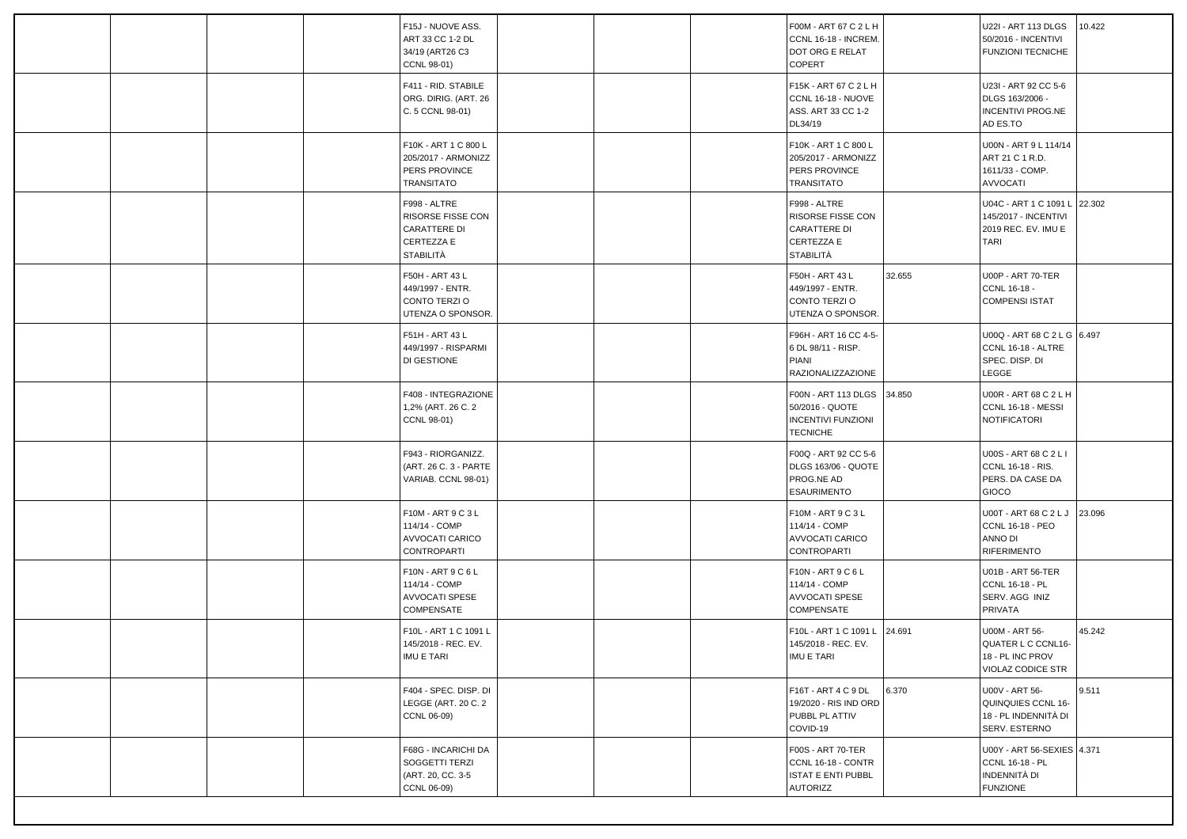| F411 - RID. STABILE<br>F15K - ART 67 C 2 L H<br>U23I - ART 92 CC 5-6<br>ORG. DIRIG. (ART. 26<br>CCNL 16-18 - NUOVE<br>DLGS 163/2006 -<br>ASS. ART 33 CC 1-2<br><b>INCENTIVI PROG.NE</b><br>C. 5 CCNL 98-01)<br>DL34/19<br>AD ES.TO<br>F10K - ART 1 C 800 L<br>U00N - ART 9 L 114/14<br>F10K - ART 1 C 800 L<br>205/2017 - ARMONIZZ<br>205/2017 - ARMONIZZ<br>ART 21 C 1 R.D.<br>PERS PROVINCE<br>1611/33 - COMP.<br>PERS PROVINCE<br>TRANSITATO<br><b>TRANSITATO</b><br><b>AVVOCATI</b><br>U04C - ART 1 C 1091 L<br>22.302<br>F998 - ALTRE<br>F998 - ALTRE<br>RISORSE FISSE CON<br>RISORSE FISSE CON<br>145/2017 - INCENTIVI<br><b>CARATTERE DI</b><br><b>CARATTERE DI</b><br>2019 REC. EV. IMU E<br>CERTEZZA E<br>CERTEZZA E<br><b>TARI</b><br><b>STABILITÀ</b><br><b>STABILITÀ</b><br>32.655<br>U00P - ART 70-TER<br>F50H - ART 43 L<br>F50H - ART 43 L<br>CCNL 16-18 -<br>449/1997 - ENTR.<br>449/1997 - ENTR.<br>CONTO TERZIO<br><b>COMPENSI ISTAT</b><br>CONTO TERZIO<br>UTENZA O SPONSOR.<br>UTENZA O SPONSOR.<br>U00Q - ART 68 C 2 L G 6.497<br>F51H - ART 43 L<br>F96H - ART 16 CC 4-5-<br>449/1997 - RISPARMI<br>6 DL 98/11 - RISP.<br>CCNL 16-18 - ALTRE<br>SPEC. DISP. DI<br>PIANI<br>DI GESTIONE<br><b>RAZIONALIZZAZIONE</b><br>LEGGE<br>F408 - INTEGRAZIONE<br><b>U00R - ART 68 C 2 L H</b><br>F00N - ART 113 DLGS 34.850<br>1,2% (ART. 26 C. 2<br>50/2016 - QUOTE<br>CCNL 16-18 - MESSI<br><b>INCENTIVI FUNZIONI</b><br><b>NOTIFICATORI</b><br>CCNL 98-01)<br><b>TECNICHE</b><br>F00Q - ART 92 CC 5-6<br>F943 - RIORGANIZZ.<br>U00S - ART 68 C 2 L I<br>(ART. 26 C. 3 - PARTE<br>DLGS 163/06 - QUOTE<br>CCNL 16-18 - RIS.<br>PROG.NE AD<br>PERS. DA CASE DA<br>VARIAB. CCNL 98-01)<br><b>ESAURIMENTO</b><br>GIOCO<br>F10M - ART 9 C 3 L<br>U00T - ART 68 C 2 L J<br>F10M - ART 9 C 3 L<br>23.096<br>114/14 - COMP<br>114/14 - COMP<br>CCNL 16-18 - PEO<br>AVVOCATI CARICO<br><b>AVVOCATI CARICO</b><br>ANNO DI<br>CONTROPARTI<br>CONTROPARTI<br><b>RIFERIMENTO</b><br>F10N - ART 9 C 6 L<br>F10N - ART 9 C 6 L<br>U01B - ART 56-TER<br>114/14 - COMP<br>114/14 - COMP<br>CCNL 16-18 - PL<br>SERV. AGG INIZ<br>AVVOCATI SPESE<br>AVVOCATI SPESE<br>COMPENSATE<br>COMPENSATE<br>PRIVATA<br>45.242<br>F10L - ART 1 C 1091 L<br>F10L - ART 1 C 1091 L<br>24.691<br>U00M - ART 56-<br>QUATER L C CCNL16-<br>145/2018 - REC. EV.<br>145/2018 - REC. EV.<br>IMU E TARI<br>18 - PL INC PROV<br>IMU E TARI<br><b>VIOLAZ CODICE STR</b><br>9.511<br>F404 - SPEC. DISP. DI<br>F16T - ART 4 C 9 DL<br>6.370<br>U00V - ART 56-<br>LEGGE (ART. 20 C. 2<br>19/2020 - RIS IND ORD<br>QUINQUIES CCNL 16-<br>CCNL 06-09)<br>PUBBL PL ATTIV<br>18 - PL INDENNITÀ DI |  | F15J - NUOVE ASS.<br>ART 33 CC 1-2 DL<br>34/19 (ART26 C3<br>CCNL 98-01) | F00M - ART 67 C 2 L H<br>CCNL 16-18 - INCREM.<br>DOT ORG E RELAT<br>COPERT | U22I - ART 113 DLGS<br>50/2016 - INCENTIVI<br><b>FUNZIONI TECNICHE</b> | 10.422 |
|----------------------------------------------------------------------------------------------------------------------------------------------------------------------------------------------------------------------------------------------------------------------------------------------------------------------------------------------------------------------------------------------------------------------------------------------------------------------------------------------------------------------------------------------------------------------------------------------------------------------------------------------------------------------------------------------------------------------------------------------------------------------------------------------------------------------------------------------------------------------------------------------------------------------------------------------------------------------------------------------------------------------------------------------------------------------------------------------------------------------------------------------------------------------------------------------------------------------------------------------------------------------------------------------------------------------------------------------------------------------------------------------------------------------------------------------------------------------------------------------------------------------------------------------------------------------------------------------------------------------------------------------------------------------------------------------------------------------------------------------------------------------------------------------------------------------------------------------------------------------------------------------------------------------------------------------------------------------------------------------------------------------------------------------------------------------------------------------------------------------------------------------------------------------------------------------------------------------------------------------------------------------------------------------------------------------------------------------------------------------------------------------------------------------------------------------------------------------------------------------------------------------------------------------------------------------------------------------------------------------------------------------------------------|--|-------------------------------------------------------------------------|----------------------------------------------------------------------------|------------------------------------------------------------------------|--------|
|                                                                                                                                                                                                                                                                                                                                                                                                                                                                                                                                                                                                                                                                                                                                                                                                                                                                                                                                                                                                                                                                                                                                                                                                                                                                                                                                                                                                                                                                                                                                                                                                                                                                                                                                                                                                                                                                                                                                                                                                                                                                                                                                                                                                                                                                                                                                                                                                                                                                                                                                                                                                                                                                |  |                                                                         |                                                                            |                                                                        |        |
|                                                                                                                                                                                                                                                                                                                                                                                                                                                                                                                                                                                                                                                                                                                                                                                                                                                                                                                                                                                                                                                                                                                                                                                                                                                                                                                                                                                                                                                                                                                                                                                                                                                                                                                                                                                                                                                                                                                                                                                                                                                                                                                                                                                                                                                                                                                                                                                                                                                                                                                                                                                                                                                                |  |                                                                         |                                                                            |                                                                        |        |
|                                                                                                                                                                                                                                                                                                                                                                                                                                                                                                                                                                                                                                                                                                                                                                                                                                                                                                                                                                                                                                                                                                                                                                                                                                                                                                                                                                                                                                                                                                                                                                                                                                                                                                                                                                                                                                                                                                                                                                                                                                                                                                                                                                                                                                                                                                                                                                                                                                                                                                                                                                                                                                                                |  |                                                                         |                                                                            |                                                                        |        |
|                                                                                                                                                                                                                                                                                                                                                                                                                                                                                                                                                                                                                                                                                                                                                                                                                                                                                                                                                                                                                                                                                                                                                                                                                                                                                                                                                                                                                                                                                                                                                                                                                                                                                                                                                                                                                                                                                                                                                                                                                                                                                                                                                                                                                                                                                                                                                                                                                                                                                                                                                                                                                                                                |  |                                                                         |                                                                            |                                                                        |        |
|                                                                                                                                                                                                                                                                                                                                                                                                                                                                                                                                                                                                                                                                                                                                                                                                                                                                                                                                                                                                                                                                                                                                                                                                                                                                                                                                                                                                                                                                                                                                                                                                                                                                                                                                                                                                                                                                                                                                                                                                                                                                                                                                                                                                                                                                                                                                                                                                                                                                                                                                                                                                                                                                |  |                                                                         |                                                                            |                                                                        |        |
|                                                                                                                                                                                                                                                                                                                                                                                                                                                                                                                                                                                                                                                                                                                                                                                                                                                                                                                                                                                                                                                                                                                                                                                                                                                                                                                                                                                                                                                                                                                                                                                                                                                                                                                                                                                                                                                                                                                                                                                                                                                                                                                                                                                                                                                                                                                                                                                                                                                                                                                                                                                                                                                                |  |                                                                         |                                                                            |                                                                        |        |
|                                                                                                                                                                                                                                                                                                                                                                                                                                                                                                                                                                                                                                                                                                                                                                                                                                                                                                                                                                                                                                                                                                                                                                                                                                                                                                                                                                                                                                                                                                                                                                                                                                                                                                                                                                                                                                                                                                                                                                                                                                                                                                                                                                                                                                                                                                                                                                                                                                                                                                                                                                                                                                                                |  |                                                                         |                                                                            |                                                                        |        |
|                                                                                                                                                                                                                                                                                                                                                                                                                                                                                                                                                                                                                                                                                                                                                                                                                                                                                                                                                                                                                                                                                                                                                                                                                                                                                                                                                                                                                                                                                                                                                                                                                                                                                                                                                                                                                                                                                                                                                                                                                                                                                                                                                                                                                                                                                                                                                                                                                                                                                                                                                                                                                                                                |  |                                                                         |                                                                            |                                                                        |        |
|                                                                                                                                                                                                                                                                                                                                                                                                                                                                                                                                                                                                                                                                                                                                                                                                                                                                                                                                                                                                                                                                                                                                                                                                                                                                                                                                                                                                                                                                                                                                                                                                                                                                                                                                                                                                                                                                                                                                                                                                                                                                                                                                                                                                                                                                                                                                                                                                                                                                                                                                                                                                                                                                |  |                                                                         |                                                                            |                                                                        |        |
|                                                                                                                                                                                                                                                                                                                                                                                                                                                                                                                                                                                                                                                                                                                                                                                                                                                                                                                                                                                                                                                                                                                                                                                                                                                                                                                                                                                                                                                                                                                                                                                                                                                                                                                                                                                                                                                                                                                                                                                                                                                                                                                                                                                                                                                                                                                                                                                                                                                                                                                                                                                                                                                                |  |                                                                         |                                                                            |                                                                        |        |
|                                                                                                                                                                                                                                                                                                                                                                                                                                                                                                                                                                                                                                                                                                                                                                                                                                                                                                                                                                                                                                                                                                                                                                                                                                                                                                                                                                                                                                                                                                                                                                                                                                                                                                                                                                                                                                                                                                                                                                                                                                                                                                                                                                                                                                                                                                                                                                                                                                                                                                                                                                                                                                                                |  |                                                                         | COVID-19                                                                   | SERV. ESTERNO                                                          |        |
| F68G - INCARICHI DA<br><b>F00S - ART 70-TER</b><br>U00Y - ART 56-SEXIES 4.371<br>SOGGETTI TERZI<br>CCNL 16-18 - PL<br>CCNL 16-18 - CONTR<br>INDENNITÀ DI<br>(ART. 20, CC. 3-5<br><b>ISTAT E ENTI PUBBL</b><br><b>FUNZIONE</b><br>CCNL 06-09)<br>AUTORIZZ                                                                                                                                                                                                                                                                                                                                                                                                                                                                                                                                                                                                                                                                                                                                                                                                                                                                                                                                                                                                                                                                                                                                                                                                                                                                                                                                                                                                                                                                                                                                                                                                                                                                                                                                                                                                                                                                                                                                                                                                                                                                                                                                                                                                                                                                                                                                                                                                       |  |                                                                         |                                                                            |                                                                        |        |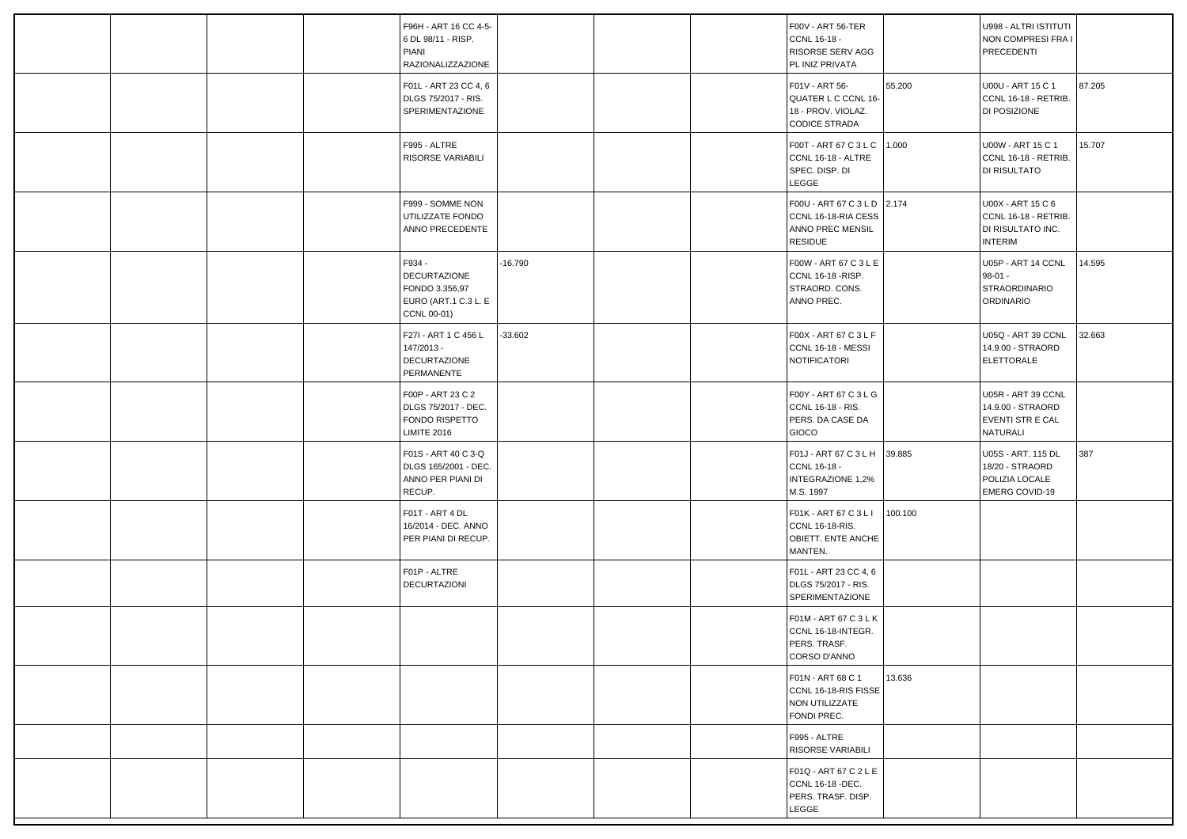|  | F96H - ART 16 CC 4-5-<br>6 DL 98/11 - RISP.<br>PIANI<br><b>RAZIONALIZZAZIONE</b>       |           |  | F00V - ART 56-TER<br>CCNL 16-18 -<br>RISORSE SERV AGG<br>PL INIZ PRIVATA                 |         | U998 - ALTRI ISTITUTI<br>NON COMPRESI FRA I<br>PRECEDENTI                        |        |
|--|----------------------------------------------------------------------------------------|-----------|--|------------------------------------------------------------------------------------------|---------|----------------------------------------------------------------------------------|--------|
|  | F01L - ART 23 CC 4, 6<br>DLGS 75/2017 - RIS.<br>SPERIMENTAZIONE                        |           |  | F01V - ART 56-<br>QUATER L C CCNL 16-<br>18 - PROV. VIOLAZ.<br><b>CODICE STRADA</b>      | 55.200  | U00U - ART 15 C 1<br>CCNL 16-18 - RETRIB.<br>DI POSIZIONE                        | 87.205 |
|  | F995 - ALTRE<br>RISORSE VARIABILI                                                      |           |  | F00T - ART 67 C 3 L C   1.000<br>CCNL 16-18 - ALTRE<br>SPEC. DISP. DI<br>LEGGE           |         | U00W - ART 15 C 1<br>CCNL 16-18 - RETRIB.<br>DI RISULTATO                        | 15.707 |
|  | F999 - SOMME NON<br>UTILIZZATE FONDO<br>ANNO PRECEDENTE                                |           |  | F00U - ART 67 C 3 L D 2.174<br>CCNL 16-18-RIA CESS<br>ANNO PREC MENSIL<br><b>RESIDUE</b> |         | U00X - ART 15 C 6<br>CCNL 16-18 - RETRIB.<br>DI RISULTATO INC.<br><b>INTERIM</b> |        |
|  | F934 -<br><b>DECURTAZIONE</b><br>FONDO 3.356,97<br>EURO (ART.1 C.3 L. E<br>CCNL 00-01) | $-16.790$ |  | F00W - ART 67 C 3 L E<br>CCNL 16-18 - RISP.<br>STRAORD. CONS.<br>ANNO PREC.              |         | U05P - ART 14 CCNL<br>$98-01 -$<br><b>STRAORDINARIO</b><br>ORDINARIO             | 14.595 |
|  | F27I - ART 1 C 456 L<br>147/2013 -<br><b>DECURTAZIONE</b><br>PERMANENTE                | $-33.602$ |  | F00X - ART 67 C 3 L F<br>CCNL 16-18 - MESSI<br>NOTIFICATORI                              |         | U05Q - ART 39 CCNL<br>14.9.00 - STRAORD<br><b>ELETTORALE</b>                     | 32.663 |
|  | F00P - ART 23 C 2<br>DLGS 75/2017 - DEC.<br>FONDO RISPETTO<br><b>LIMITE 2016</b>       |           |  | F00Y - ART 67 C 3 L G<br>CCNL 16-18 - RIS.<br>PERS. DA CASE DA<br>GIOCO                  |         | U05R - ART 39 CCNL<br>14.9.00 - STRAORD<br>EVENTI STR E CAL<br>NATURALI          |        |
|  | F01S - ART 40 C 3-Q<br>DLGS 165/2001 - DEC.<br>ANNO PER PIANI DI<br>RECUP.             |           |  | F01J - ART 67 C 3 L H 39.885<br>CCNL 16-18 -<br><b>INTEGRAZIONE 1,2%</b><br>M.S. 1997    |         | U05S - ART. 115 DL<br>18/20 - STRAORD<br>POLIZIA LOCALE<br>EMERG COVID-19        | 387    |
|  | F01T - ART 4 DL<br>16/2014 - DEC. ANNO<br>PER PIANI DI RECUP.                          |           |  | F01K - ART 67 C 3 L I<br>CCNL 16-18-RIS.<br>OBIETT. ENTE ANCHE<br>MANTEN.                | 100.100 |                                                                                  |        |
|  | F01P - ALTRE<br>DECURTAZIONI                                                           |           |  | F01L - ART 23 CC 4, 6<br>DLGS 75/2017 - RIS.<br>SPERIMENTAZIONE                          |         |                                                                                  |        |
|  |                                                                                        |           |  | F01M - ART 67 C 3 L K<br>CCNL 16-18-INTEGR.<br>PERS. TRASF.<br>CORSO D'ANNO              |         |                                                                                  |        |
|  |                                                                                        |           |  | F01N - ART 68 C 1<br>CCNL 16-18-RIS FISSE<br>NON UTILIZZATE<br>FONDI PREC.               | 13.636  |                                                                                  |        |
|  |                                                                                        |           |  | F995 - ALTRE<br>RISORSE VARIABILI                                                        |         |                                                                                  |        |
|  |                                                                                        |           |  | F01Q - ART 67 C 2 L E<br>CCNL 16-18 -DEC.<br>PERS. TRASF. DISP.<br>LEGGE                 |         |                                                                                  |        |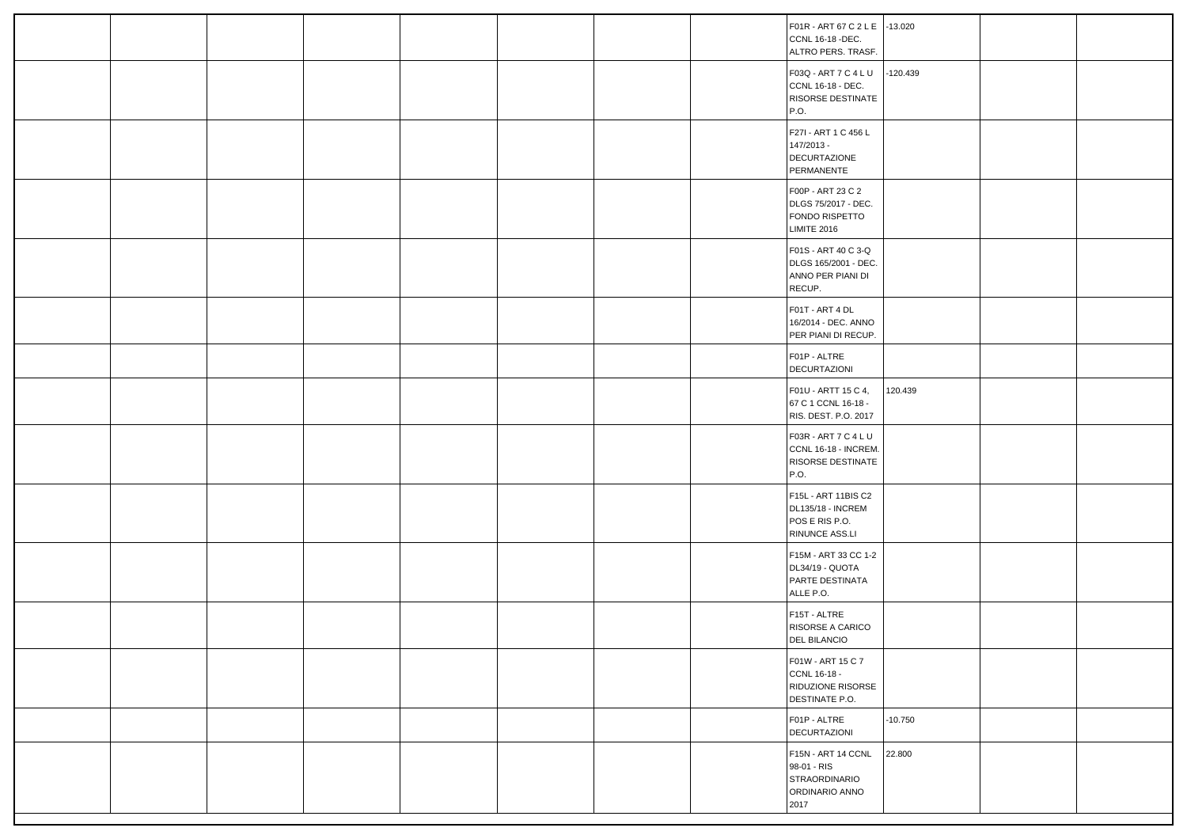|  |  |  |  | F01R - ART 67 C 2 L E -13.020<br>CCNL 16-18 -DEC.<br>ALTRO PERS. TRASF.             |            |  |
|--|--|--|--|-------------------------------------------------------------------------------------|------------|--|
|  |  |  |  | F03Q - ART 7 C 4 L U<br>CCNL 16-18 - DEC.<br>RISORSE DESTINATE<br>P.O.              | $-120.439$ |  |
|  |  |  |  | F27I - ART 1 C 456 L<br>147/2013 -<br><b>DECURTAZIONE</b><br>PERMANENTE             |            |  |
|  |  |  |  | F00P - ART 23 C 2<br>DLGS 75/2017 - DEC.<br>FONDO RISPETTO<br><b>LIMITE 2016</b>    |            |  |
|  |  |  |  | F01S - ART 40 C 3-Q<br>DLGS 165/2001 - DEC.<br>ANNO PER PIANI DI<br>RECUP.          |            |  |
|  |  |  |  | F01T - ART 4 DL<br>16/2014 - DEC. ANNO<br>PER PIANI DI RECUP.                       |            |  |
|  |  |  |  | F01P - ALTRE<br>DECURTAZIONI                                                        |            |  |
|  |  |  |  | F01U - ARTT 15 C 4,<br>67 C 1 CCNL 16-18 -<br>RIS. DEST. P.O. 2017                  | 120.439    |  |
|  |  |  |  | F03R - ART 7 C 4 L U<br>CCNL 16-18 - INCREM.<br>RISORSE DESTINATE<br>P.O.           |            |  |
|  |  |  |  | F15L - ART 11BIS C2<br>DL135/18 - INCREM<br>POS E RIS P.O.<br>RINUNCE ASS.LI        |            |  |
|  |  |  |  | F15M - ART 33 CC 1-2<br>DL34/19 - QUOTA<br>PARTE DESTINATA<br>ALLE P.O.             |            |  |
|  |  |  |  | F15T - ALTRE<br>RISORSE A CARICO<br><b>DEL BILANCIO</b>                             |            |  |
|  |  |  |  | F01W - ART 15 C 7<br>CCNL 16-18 -<br>RIDUZIONE RISORSE<br>DESTINATE P.O.            |            |  |
|  |  |  |  | F01P - ALTRE<br>DECURTAZIONI                                                        | $-10.750$  |  |
|  |  |  |  | F15N - ART 14 CCNL<br>98-01 - RIS<br><b>STRAORDINARIO</b><br>ORDINARIO ANNO<br>2017 | 22.800     |  |